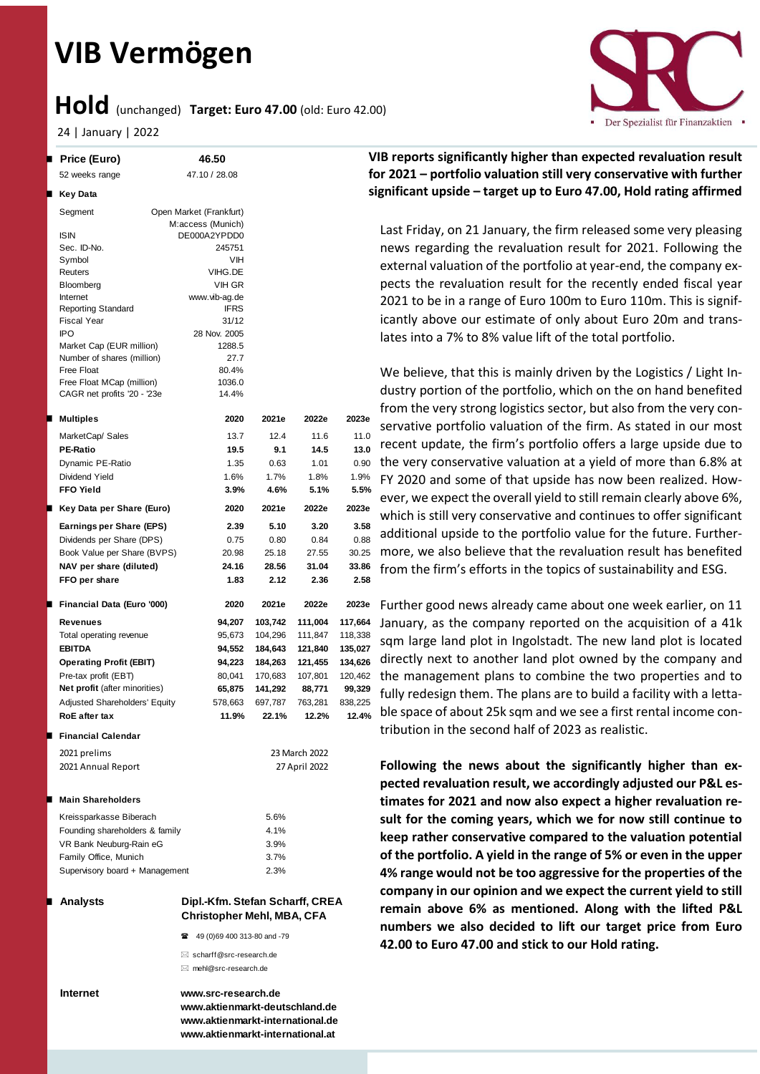# **VIB Vermögen**

## **Hold** (unchanged) **Target: Euro 47.00** (old: Euro 42.00)

24 | January | 2022

|   | <b>Price (Euro)</b>                                       | 46.50                                                                   |         |               |                               | <b>VIB reports significantly highe</b> |
|---|-----------------------------------------------------------|-------------------------------------------------------------------------|---------|---------------|-------------------------------|----------------------------------------|
|   | 52 weeks range                                            | 47.10 / 28.08                                                           |         |               |                               | for 2021 - portfolio valuation         |
| П | Key Data                                                  |                                                                         |         |               |                               | significant upside - target up t       |
|   | Segment                                                   | Open Market (Frankfurt)                                                 |         |               |                               |                                        |
|   |                                                           | M:access (Munich)                                                       |         |               |                               | Last Friday, on 21 January, th         |
|   | <b>ISIN</b>                                               | DE000A2YPDD0                                                            |         |               |                               |                                        |
|   | Sec. ID-No.                                               | 245751<br>VIH                                                           |         |               |                               | news regarding the revaluat            |
|   | Symbol<br>Reuters                                         | VIHG.DE                                                                 |         |               |                               | external valuation of the por          |
|   | <b>Bloomberg</b>                                          | VIH GR                                                                  |         |               |                               | pects the revaluation result           |
|   | Internet                                                  | www.vib-ag.de                                                           |         |               |                               | 2021 to be in a range of Euro          |
|   | <b>Reporting Standard</b>                                 | <b>IFRS</b>                                                             |         |               |                               | icantly above our estimate o           |
|   | <b>Fiscal Year</b><br>IPO                                 | 31/12<br>28 Nov. 2005                                                   |         |               |                               |                                        |
|   | Market Cap (EUR million)                                  | 1288.5                                                                  |         |               |                               | lates into a 7% to 8% value li         |
|   | Number of shares (million)                                | 27.7                                                                    |         |               |                               |                                        |
|   | <b>Free Float</b>                                         | 80.4%                                                                   |         |               |                               | We believe, that this is main          |
|   | Free Float MCap (million)<br>CAGR net profits '20 - '23e  | 1036.0<br>14.4%                                                         |         |               |                               | dustry portion of the portfoli         |
|   |                                                           |                                                                         |         |               |                               | from the very strong logistics         |
| п | <b>Multiples</b>                                          | 2020                                                                    | 2021e   | 2022e         | 2023e                         |                                        |
|   | MarketCap/ Sales                                          | 13.7                                                                    | 12.4    | 11.6          | 11.0                          | servative portfolio valuation          |
|   | <b>PE-Ratio</b>                                           | 19.5                                                                    | 9.1     | 14.5          | 13.0                          | recent update, the firm's po           |
|   | Dynamic PE-Ratio                                          | 1.35                                                                    | 0.63    | 1.01          | 0.90                          | the very conservative valuati          |
|   | Dividend Yield                                            | 1.6%                                                                    | 1.7%    | 1.8%          | 1.9%                          | FY 2020 and some of that up            |
|   | <b>FFO Yield</b>                                          | 3.9%                                                                    | 4.6%    | 5.1%          | 5.5%                          | ever, we expect the overall yi         |
| ш | Key Data per Share (Euro)                                 | 2020                                                                    | 2021e   | 2022e         | 2023e                         |                                        |
|   | Earnings per Share (EPS)                                  | 2.39                                                                    | 5.10    | 3.20          | 3.58                          | which is still very conservativ        |
|   | Dividends per Share (DPS)                                 | 0.75                                                                    | 0.80    | 0.84          | 0.88                          | additional upside to the port          |
|   | Book Value per Share (BVPS)                               | 20.98                                                                   | 25.18   | 27.55         | 30.25                         | more, we also believe that th          |
|   | NAV per share (diluted)                                   | 24.16                                                                   | 28.56   | 31.04         | 33.86                         | from the firm's efforts in the         |
|   | FFO per share                                             | 1.83                                                                    | 2.12    | 2.36          | 2.58                          |                                        |
| ш | Financial Data (Euro '000)                                | 2020                                                                    | 2021e   | 2022e         | 2023e                         | Further good news already ca           |
|   | <b>Revenues</b>                                           | 94,207                                                                  | 103,742 | 111,004       | 117,664                       |                                        |
|   | Total operating revenue                                   | 95,673                                                                  | 104,296 | 111,847       | 118,338                       | January, as the company rep            |
|   | <b>EBITDA</b>                                             | 94,552                                                                  | 184,643 | 121,840       | 135,027                       | sqm large land plot in Ingols          |
|   | <b>Operating Profit (EBIT)</b>                            | 94,223                                                                  | 184,263 | 121,455       | 134,626                       | directly next to another land          |
|   | Pre-tax profit (EBT)                                      | 80,041                                                                  | 170,683 | 107,801       | 120,462                       | the management plans to co             |
|   | Net profit (after minorities)                             | 65,875                                                                  | 141,292 | 88,771        | 99,329                        | fully redesign them. The plan          |
|   | Adjusted Shareholders' Equity                             | 578,663                                                                 | 697,787 | 763,281       | 838,225                       |                                        |
|   | <b>RoE</b> after tax                                      | 11.9%                                                                   | 22.1%   | 12.2%         | 12.4%                         | ble space of about 25k sqm a           |
|   | <b>Financial Calendar</b>                                 |                                                                         |         |               |                               | tribution in the second half o         |
|   | 2021 prelims                                              |                                                                         |         | 23 March 2022 |                               |                                        |
|   | 2021 Annual Report                                        |                                                                         |         | 27 April 2022 | Following the news about      |                                        |
|   |                                                           |                                                                         |         |               | pected revaluation result, w  |                                        |
| ш | <b>Main Shareholders</b>                                  |                                                                         |         |               |                               | timates for 2021 and now al            |
|   |                                                           |                                                                         | 5.6%    |               |                               |                                        |
|   | Kreissparkasse Biberach<br>Founding shareholders & family |                                                                         | 4.1%    |               | sult for the coming years, w  |                                        |
|   | VR Bank Neuburg-Rain eG                                   |                                                                         | 3.9%    |               | keep rather conservative co   |                                        |
|   | Family Office, Munich                                     |                                                                         | 3.7%    |               |                               | of the portfolio. A yield in th        |
|   | Supervisory board + Management                            |                                                                         | 2.3%    |               |                               | 4% range would not be too a            |
|   |                                                           |                                                                         |         |               |                               | company in our opinion and             |
|   | <b>Analysts</b>                                           | Dipl.-Kfm. Stefan Scharff, CREA                                         |         |               |                               |                                        |
|   |                                                           | <b>Christopher Mehl, MBA, CFA</b>                                       |         |               |                               | remain above 6% as menti               |
|   |                                                           | 49 (0)69 400 313-80 and -79                                             |         |               | numbers we also decided t     |                                        |
|   |                                                           |                                                                         |         |               | 42.00 to Euro 47.00 and sticl |                                        |
|   |                                                           | $\boxtimes$ scharff@src-research.de<br>$\boxtimes$ mehl@src-research.de |         |               |                               |                                        |
|   |                                                           |                                                                         |         |               |                               |                                        |
|   | Internet                                                  | www.src-research.de                                                     |         |               |                               |                                        |

Der Spezialist für Finanzaktien

## **VIB reports significantly higher than expected revaluation result for 2021 – portfolio valuation still very conservative with further significant upside – target up to Euro 47.00, Hold rating affirmed**

e firm released some very pleasing ion result for 2021. Following the tfolio at year-end, the company exfor the recently ended fiscal year 0 100m to Euro 110m. This is signifof only about Euro 20m and transift of the total portfolio.

ly driven by the Logistics / Light Inio, which on the on hand benefited sector, but also from the very conof the firm. As stated in our most rtfolio offers a large upside due to ion at a yield of more than 6.8% at pside has now been realized. Howield to still remain clearly above 6%, ve and continues to offer significant tfolio value for the future. Furtherhe revaluation result has benefited topics of sustainability and ESG.

ame about one week earlier, on 11 ported on the acquisition of a 41k stadt. The new land plot is located d plot owned by the company and ombine the two properties and to is are to build a facility with a lettand we see a first rental income conof 2023 as realistic.

the significantly higher than ex**e accordingly adjusted our P&L estheat force force force force force expect a higher result for the coming years, which we for now still continue to keep rather conservative compared to the valuation potential e range of 5% or even in the upper 4% range would not be too aggressive for the properties of the we expect the current yield to still remain above 6 assets** incohed. Along with the lifted P&L **numbers we also decided to lift our target price from Euro k** to our Hold rating.

**www.aktienmarkt-deutschland.de www.aktienmarkt-international.de www.aktienmarkt-international.at**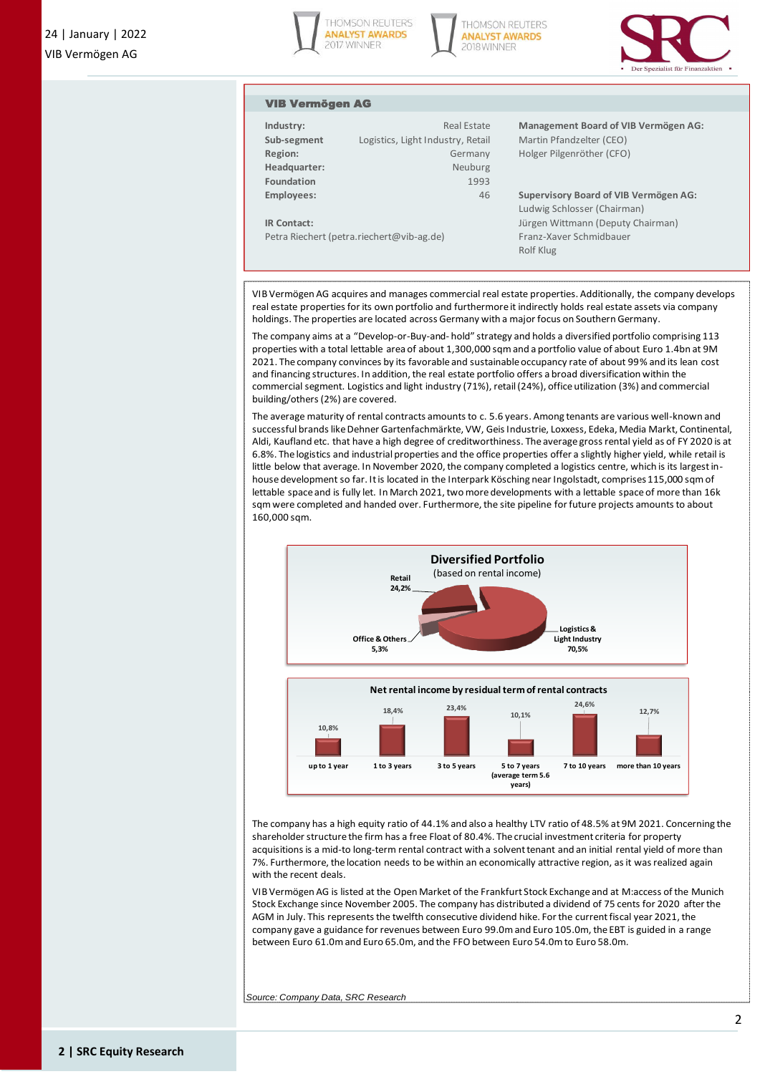





#### VIB Vermögen AG

| Industry:                                 | Real Estate                       |  |  |  |  |
|-------------------------------------------|-----------------------------------|--|--|--|--|
| Sub-segment                               | Logistics, Light Industry, Retail |  |  |  |  |
| Region:                                   | Germany                           |  |  |  |  |
| Headquarter:                              | Neuburg                           |  |  |  |  |
| Foundation                                | 1993                              |  |  |  |  |
| <b>Employees:</b>                         | 46                                |  |  |  |  |
|                                           |                                   |  |  |  |  |
| <b>IR Contact:</b>                        |                                   |  |  |  |  |
| Petra Riechert (petra.riechert@vib-ag.de) |                                   |  |  |  |  |

**Management Board of VIB Vermögen AG: Martin Pfandzelter (CEO) Holger Pilgenröther (CFO)** 

**Employees:** 46 **Supervisory Board of VIB Vermögen AG:** Ludwig Schlosser (Chairman) Jürgen Wittmann (Deputy Chairman) Franz-Xaver Schmidbauer Rolf Klug

VIB Vermögen AG acquires and manages commercial real estate properties. Additionally, the company develops real estate properties for its own portfolio and furthermore it indirectly holds real estate assets via company holdings. The properties are located across Germany with a major focus on Southern Germany.

The company aims at a "Develop-or-Buy-and- hold" strategy and holds a diversified portfolio comprising 113 properties with a total lettable area of about 1,300,000 sqm and a portfolio value of about Euro 1.4bn at 9M 2021. The company convinces by its favorable and sustainable occupancy rate of about 99% and its lean cost and financing structures. In addition, the real estate portfolio offers a broad diversification within the commercial segment. Logistics and light industry (71%), retail (24%), office utilization (3%) and commercial building/others (2%) are covered.

The average maturity of rental contracts amounts to c. 5.6 years. Among tenants are various well-known and successful brands like Dehner Gartenfachmärkte, VW, Geis Industrie, Loxxess, Edeka, Media Markt, Continental, Aldi, Kaufland etc. that have a high degree of creditworthiness. The average gross rental yield as of FY 2020 is at 6.8%. The logistics and industrial properties and the office properties offer a slightly higher yield, while retail is little below that average. In November 2020, the company completed a logistics centre, which is its largest inhouse development so far. It is located in the Interpark Kösching near Ingolstadt, comprises 115,000 sqm of lettable space and is fully let. In March 2021, two more developments with a lettable space of more than 16k sqm were completed and handed over. Furthermore, the site pipeline for future projects amounts to about 160,000 sqm.



The company has a high equity ratio of 44.1% and also a healthy LTV ratio of 48.5% at 9M 2021. Concerning the shareholder structure the firm has a free Float of 80.4%. The crucial investment criteria for property acquisitions is a mid-to long-term rental contract with a solvent tenant and an initial rental yield of more than 7%. Furthermore, the location needs to be within an economically attractive region, as it was realized again with the recent deals.

VIB Vermögen AG is listed at the Open Market of the Frankfurt Stock Exchange and at M:access of the Munich Stock Exchange since November 2005. The company has distributed a dividend of 75 cents for 2020 after the AGM in July. This represents the twelfth consecutive dividend hike. For the current fiscal year 2021, the company gave a guidance for revenues between Euro 99.0m and Euro 105.0m, the EBT is guided in a range between Euro 61.0m and Euro 65.0m, and the FFO between Euro 54.0m to Euro 58.0m.

*Source: Company Data, SRC Research*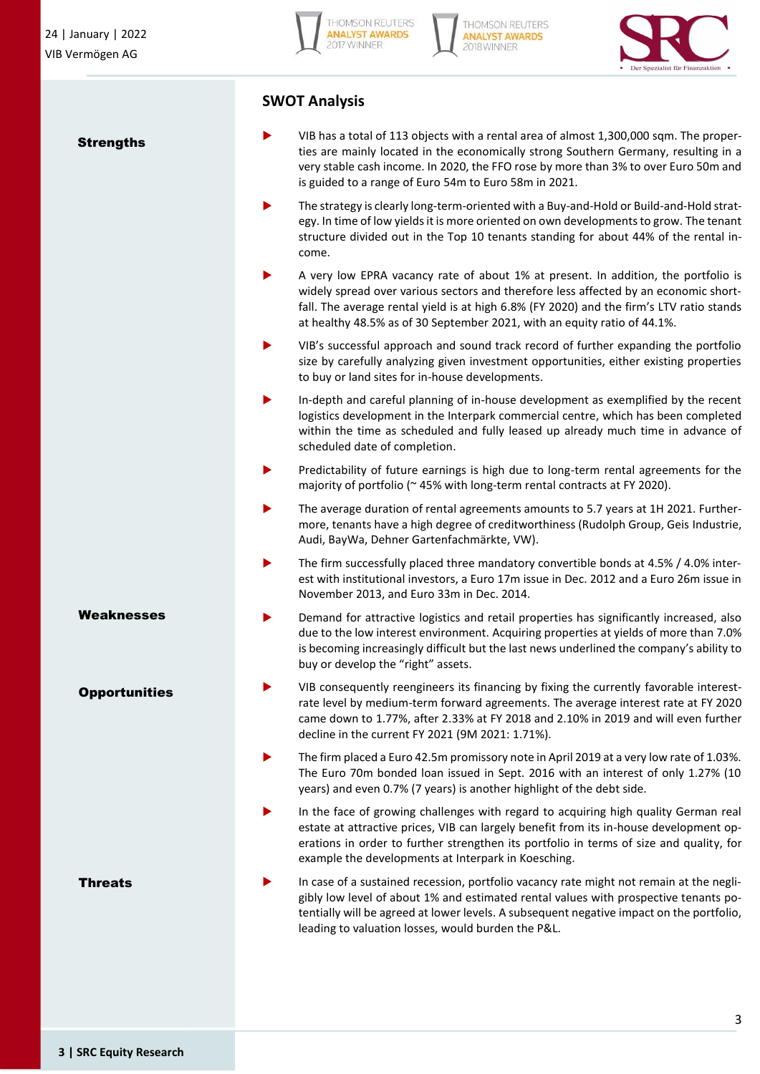**Strengths** 

**HOMSON REUTERS ANALYST AWARDS** 2017 WINNER





## **SWOT Analysis**

- VIB has a total of 113 objects with a rental area of almost 1,300,000 sqm. The properties are mainly located in the economically strong Southern Germany, resulting in a very stable cash income. In 2020, the FFO rose by more than 3% to over Euro 50m and is guided to a range of Euro 54m to Euro 58m in 2021.
- The strategy is clearly long-term-oriented with a Buy-and-Hold or Build-and-Hold strategy. In time of low yields it is more oriented on own developments to grow. The tenant structure divided out in the Top 10 tenants standing for about 44% of the rental income.
- A very low EPRA vacancy rate of about 1% at present. In addition, the portfolio is widely spread over various sectors and therefore less affected by an economic shortfall. The average rental yield is at high 6.8% (FY 2020) and the firm's LTV ratio stands at healthy 48.5% as of 30 September 2021, with an equity ratio of 44.1%.
- VIB's successful approach and sound track record of further expanding the portfolio size by carefully analyzing given investment opportunities, either existing properties to buy or land sites for in-house developments.
- In-depth and careful planning of in-house development as exemplified by the recent logistics development in the Interpark commercial centre, which has been completed within the time as scheduled and fully leased up already much time in advance of scheduled date of completion.
- Predictability of future earnings is high due to long-term rental agreements for the majority of portfolio (~ 45% with long-term rental contracts at FY 2020).
- The average duration of rental agreements amounts to 5.7 years at 1H 2021. Furthermore, tenants have a high degree of creditworthiness (Rudolph Group, Geis Industrie, Audi, BayWa, Dehner Gartenfachmärkte, VW).
- The firm successfully placed three mandatory convertible bonds at 4.5% / 4.0% interest with institutional investors, a Euro 17m issue in Dec. 2012 and a Euro 26m issue in November 2013, and Euro 33m in Dec. 2014.
- Demand for attractive logistics and retail properties has significantly increased, also due to the low interest environment. Acquiring properties at yields of more than 7.0% is becoming increasingly difficult but the last news underlined the company's ability to buy or develop the "right" assets.
- VIB consequently reengineers its financing by fixing the currently favorable interestrate level by medium-term forward agreements. The average interest rate at FY 2020 came down to 1.77%, after 2.33% at FY 2018 and 2.10% in 2019 and will even further decline in the current FY 2021 (9M 2021: 1.71%).
- The firm placed a Euro 42.5m promissory note in April 2019 at a very low rate of 1.03%. The Euro 70m bonded loan issued in Sept. 2016 with an interest of only 1.27% (10 years) and even 0.7% (7 years) is another highlight of the debt side.
- In the face of growing challenges with regard to acquiring high quality German real estate at attractive prices, VIB can largely benefit from its in-house development operations in order to further strengthen its portfolio in terms of size and quality, for example the developments at Interpark in Koesching.
- In case of a sustained recession, portfolio vacancy rate might not remain at the negligibly low level of about 1% and estimated rental values with prospective tenants potentially will be agreed at lower levels. A subsequent negative impact on the portfolio, leading to valuation losses, would burden the P&L.

**Weaknesses** 

**Opportunities** 

**Threats**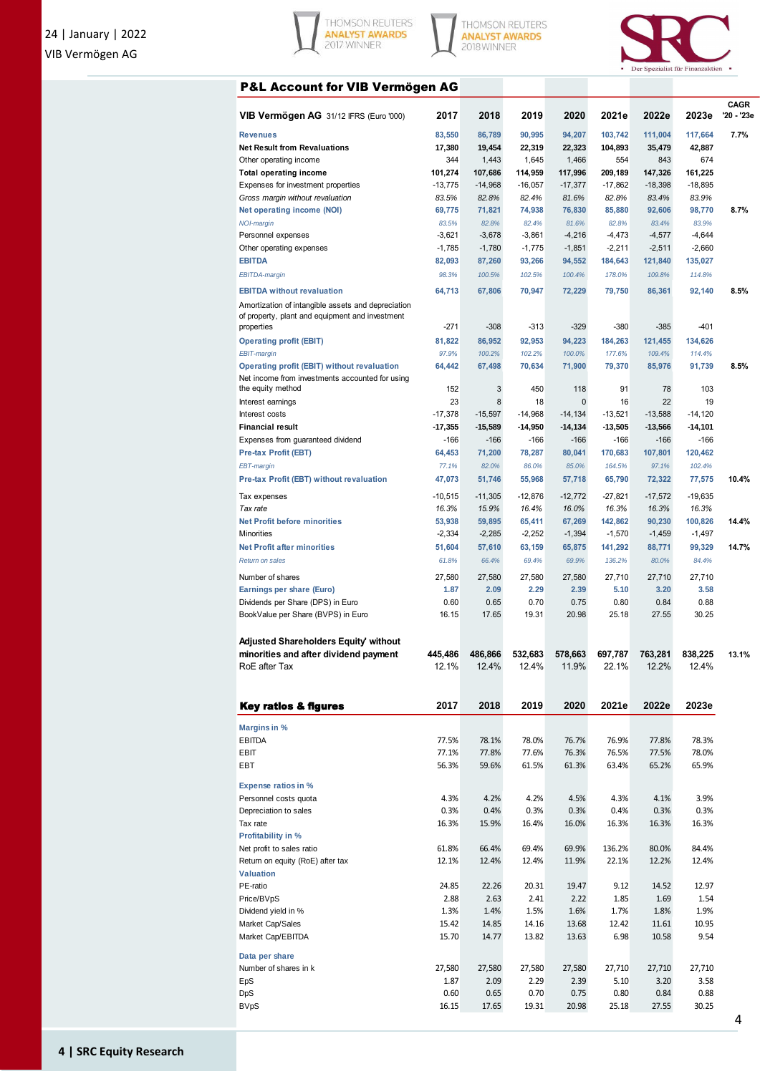





### P&L Account for VIB Vermögen AG

| VIB Vermögen AG 31/12 IFRS (Euro '000)                                                                | 2017              | 2018                | 2019                | 2020                 | 2021e             | 2022e             | 2023e               | <b>CAGR</b><br>'20 - '23e |
|-------------------------------------------------------------------------------------------------------|-------------------|---------------------|---------------------|----------------------|-------------------|-------------------|---------------------|---------------------------|
| <b>Revenues</b>                                                                                       | 83.550            | 86,789              | 90,995              | 94,207               | 103,742           | 111,004           | 117,664             | 7.7%                      |
| <b>Net Result from Revaluations</b>                                                                   | 17,380            | 19,454              | 22,319              | 22,323               | 104,893           | 35,479            | 42,887              |                           |
| Other operating income                                                                                | 344               | 1,443               | 1,645               | 1,466                | 554               | 843               | 674                 |                           |
| <b>Total operating income</b>                                                                         | 101,274           | 107,686             | 114,959             | 117,996              | 209,189           | 147,326           | 161,225             |                           |
| Expenses for investment properties                                                                    | $-13,775$         | $-14,968$           | $-16,057$           | $-17,377$            | $-17,862$         | $-18,398$         | $-18,895$           |                           |
| Gross margin without revaluation<br><b>Net operating income (NOI)</b>                                 | 83.5%<br>69,775   | 82.8%<br>71,821     | 82.4%<br>74,938     | 81.6%<br>76,830      | 82.8%<br>85,880   | 83.4%<br>92,606   | 83.9%<br>98,770     | 8.7%                      |
| <b>NOI-margin</b>                                                                                     | 83.5%             | 82.8%               | 82.4%               | 81.6%                | 82.8%             | 83.4%             | 83.9%               |                           |
| Personnel expenses                                                                                    | $-3,621$          | $-3,678$            | $-3,861$            | $-4,216$             | $-4,473$          | $-4,577$          | $-4,644$            |                           |
| Other operating expenses                                                                              | $-1,785$          | $-1,780$            | $-1,775$            | $-1,851$             | $-2,211$          | $-2,511$          | $-2,660$            |                           |
| <b>EBITDA</b>                                                                                         | 82,093            | 87,260              | 93,266              | 94,552               | 184,643           | 121,840           | 135,027             |                           |
| <b>EBITDA-margin</b>                                                                                  | 98.3%             | 100.5%              | 102.5%              | 100.4%               | 178.0%            | 109.8%            | 114.8%              |                           |
| <b>EBITDA</b> without revaluation                                                                     | 64,713            | 67,806              | 70,947              | 72,229               | 79,750            | 86,361            | 92,140              | 8.5%                      |
| Amortization of intangible assets and depreciation<br>of property, plant and equipment and investment |                   |                     |                     |                      |                   |                   |                     |                           |
| properties                                                                                            | -271              | $-308$              | $-313$              | $-329$               | $-380$            | $-385$            | $-401$              |                           |
| <b>Operating profit (EBIT)</b>                                                                        | 81,822            | 86,952              | 92,953              | 94,223               | 184,263           | 121,455           | 134,626             |                           |
| EBIT-margin                                                                                           | 97.9%             | 100.2%              | 102.2%              | 100.0%               | 177.6%            | 109.4%            | 114.4%              |                           |
| Operating profit (EBIT) without revaluation<br>Net income from investments accounted for using        | 64,442            | 67,498              | 70,634              | 71,900               | 79,370            | 85,976            | 91,739              | 8.5%                      |
| the equity method                                                                                     | 152               | 3                   | 450                 | 118                  | 91                | 78                | 103                 |                           |
| Interest earnings                                                                                     | 23                | 8                   | 18                  | 0                    | 16                | 22                | 19                  |                           |
| Interest costs                                                                                        | $-17,378$         | $-15.597$           | $-14,968$           | $-14.134$            | $-13,521$         | $-13.588$         | $-14,120$           |                           |
| <b>Financial result</b><br>Expenses from guaranteed dividend                                          | $-17,355$<br>-166 | $-15,589$<br>$-166$ | $-14,950$<br>$-166$ | $-14, 134$<br>$-166$ | $-13,505$<br>-166 | $-13,566$<br>-166 | $-14,101$<br>$-166$ |                           |
| <b>Pre-tax Profit (EBT)</b>                                                                           | 64,453            | 71,200              | 78,287              | 80,041               | 170,683           | 107,801           | 120,462             |                           |
| EBT-margin                                                                                            | 77.1%             | 82.0%               | 86.0%               | 85.0%                | 164.5%            | 97.1%             | 102.4%              |                           |
| Pre-tax Profit (EBT) without revaluation                                                              | 47,073            | 51,746              | 55,968              | 57,718               | 65,790            | 72,322            | 77,575              | 10.4%                     |
| Tax expenses                                                                                          | $-10,515$         | $-11,305$           | $-12,876$           | $-12,772$            | $-27,821$         | $-17,572$         | $-19,635$           |                           |
| Tax rate                                                                                              | 16.3%             | 15.9%               | 16.4%               | 16.0%                | 16.3%             | 16.3%             | 16.3%               |                           |
| <b>Net Profit before minorities</b>                                                                   | 53,938            | 59,895              | 65,411              | 67,269               | 142,862           | 90,230            | 100,826             | 14.4%                     |
| Minorities                                                                                            | $-2,334$          | $-2,285$            | $-2,252$            | $-1,394$             | $-1,570$          | $-1,459$          | $-1,497$            |                           |
| <b>Net Profit after minorities</b>                                                                    | 51,604            | 57,610              | 63,159              | 65,875               | 141,292           | 88,771            | 99,329              | 14.7%                     |
| <b>Return on sales</b>                                                                                | 61.8%             | 66.4%               | 69.4%               | 69.9%                | 136.2%            | 80.0%             | 84.4%               |                           |
| Number of shares                                                                                      | 27,580            | 27,580              | 27,580              | 27,580               | 27,710            | 27,710            | 27,710              |                           |
| Earnings per share (Euro)                                                                             | 1.87              | 2.09                | 2.29                | 2.39                 | 5.10              | 3.20              | 3.58                |                           |
| Dividends per Share (DPS) in Euro<br>BookValue per Share (BVPS) in Euro                               | 0.60<br>16.15     | 0.65<br>17.65       | 0.70<br>19.31       | 0.75<br>20.98        | 0.80<br>25.18     | 0.84<br>27.55     | 0.88<br>30.25       |                           |
| Adjusted Shareholders Equity' without                                                                 |                   |                     |                     |                      |                   |                   |                     |                           |
| minorities and after dividend payment                                                                 | 445,486           | 486,866             | 532,683             | 578,663              | 697,787           | 763,281           | 838,225             | 13.1%                     |
| RoE after Tax                                                                                         | 12.1%             | 12.4%               | 12.4%               | 11.9%                | 22.1%             | 12.2%             | 12.4%               |                           |
| <b>Key ratios &amp; figures</b>                                                                       | 2017              | 2018                | 2019                | 2020                 | 2021e             | 2022e             | 2023e               |                           |
| <b>Margins in %</b>                                                                                   |                   |                     |                     |                      |                   |                   |                     |                           |
| <b>EBITDA</b>                                                                                         | 77.5%             | 78.1%               | 78.0%               | 76.7%                | 76.9%             | 77.8%             | 78.3%               |                           |
| EBIT                                                                                                  | 77.1%             | 77.8%               | 77.6%               | 76.3%                | 76.5%             | 77.5%             | 78.0%               |                           |
| EBT                                                                                                   | 56.3%             | 59.6%               | 61.5%               | 61.3%                | 63.4%             | 65.2%             | 65.9%               |                           |
| <b>Expense ratios in %</b>                                                                            |                   |                     |                     |                      |                   |                   |                     |                           |
| Personnel costs quota<br>Depreciation to sales                                                        | 4.3%<br>0.3%      | 4.2%<br>0.4%        | 4.2%<br>0.3%        | 4.5%<br>0.3%         | 4.3%<br>0.4%      | 4.1%<br>0.3%      | 3.9%<br>0.3%        |                           |
| Tax rate                                                                                              | 16.3%             | 15.9%               | 16.4%               | 16.0%                | 16.3%             | 16.3%             | 16.3%               |                           |
| Profitability in %                                                                                    |                   |                     |                     |                      |                   |                   |                     |                           |
| Net profit to sales ratio                                                                             | 61.8%             | 66.4%               | 69.4%               | 69.9%                | 136.2%            | 80.0%             | 84.4%               |                           |
| Return on equity (RoE) after tax                                                                      | 12.1%             | 12.4%               | 12.4%               | 11.9%                | 22.1%             | 12.2%             | 12.4%               |                           |
| <b>Valuation</b>                                                                                      |                   |                     |                     |                      |                   |                   |                     |                           |
| PE-ratio                                                                                              | 24.85             | 22.26               | 20.31               | 19.47                | 9.12              | 14.52             | 12.97               |                           |
| Price/BVpS                                                                                            | 2.88              | 2.63                | 2.41                | 2.22                 | 1.85              | 1.69              | 1.54                |                           |
| Dividend yield in %                                                                                   | 1.3%              | 1.4%                | 1.5%                | 1.6%                 | 1.7%              | 1.8%              | 1.9%                |                           |
| Market Cap/Sales                                                                                      | 15.42             | 14.85               | 14.16               | 13.68                | 12.42             | 11.61             | 10.95               |                           |
| Market Cap/EBITDA                                                                                     | 15.70             | 14.77               | 13.82               | 13.63                | 6.98              | 10.58             | 9.54                |                           |
| Data per share                                                                                        |                   |                     |                     |                      |                   |                   |                     |                           |
| Number of shares in k                                                                                 | 27,580            | 27,580              | 27,580              | 27,580               | 27,710            | 27,710            | 27,710              |                           |
| EpS                                                                                                   | 1.87              | 2.09                | 2.29                | 2.39                 | 5.10              | 3.20              | 3.58                |                           |
| DpS                                                                                                   | 0.60              | 0.65                | 0.70                | 0.75                 | 0.80              | 0.84              | 0.88                |                           |
| <b>BVpS</b>                                                                                           | 16.15             | 17.65               | 19.31               | 20.98                | 25.18             | 27.55             | 30.25               |                           |